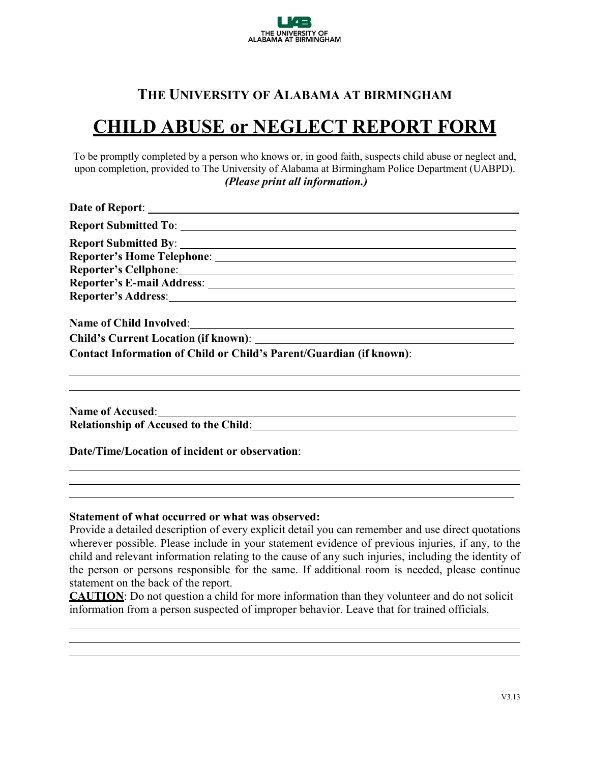

## **THE UNIVERSITY OF ALABAMA AT BIRMINGHAM**

## **CHILD ABUSE or NEGLECT REPORT FORM**

To be promptly completed by a person who knows or, in good faith, suspects child abuse or neglect and, upon completion, provided to The University of Alabama at Birmingham Police Department (UABPD). *(Please print all information.)*

| <b>Contact Information of Child or Child's Parent/Guardian (if known):</b> |
|----------------------------------------------------------------------------|
|                                                                            |
|                                                                            |
|                                                                            |

**Date/Time/Location of incident or observation**:

**Statement of what occurred or what was observed:**

Provide a detailed description of every explicit detail you can remember and use direct quotations wherever possible. Please include in your statement evidence of previous injuries, if any, to the child and relevant information relating to the cause of any such injuries, including the identity of the person or persons responsible for the same. If additional room is needed, please continue statement on the back of the report.

**CAUTION**: Do not question a child for more information than they volunteer and do not solicit information from a person suspected of improper behavior. Leave that for trained officials.